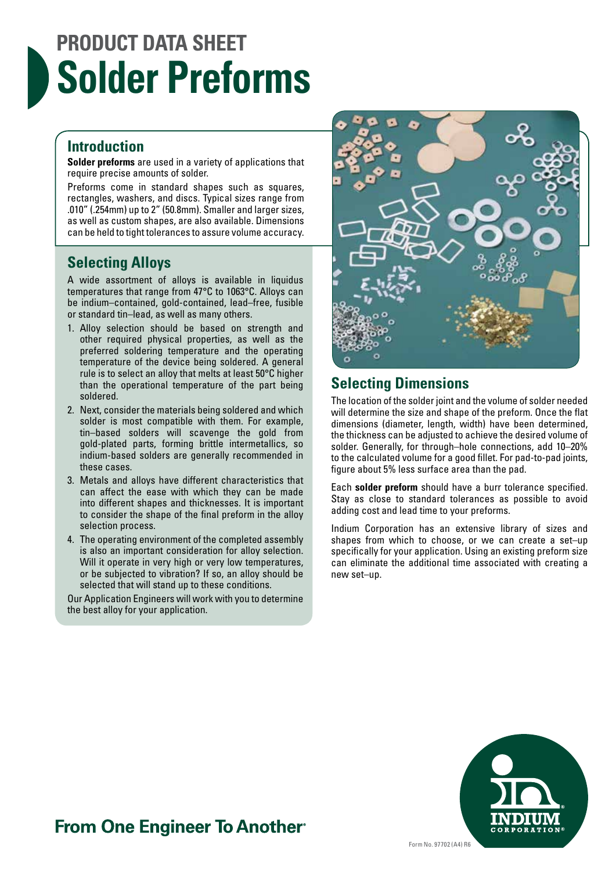# **PRODUCT DATA SHEET Solder Preforms**

#### **Introduction**

**Solder preforms** are used in a variety of applications that require precise amounts of solder.

Preforms come in standard shapes such as squares, rectangles, washers, and discs. Typical sizes range from .010" (.254mm) up to 2" (50.8mm). Smaller and larger sizes, as well as custom shapes, are also available. Dimensions can be held to tight tolerances to assure volume accuracy.

#### **Selecting Alloys**

A wide assortment of alloys is available in liquidus temperatures that range from 47°C to 1063°C. Alloys can be indium–contained, gold-contained, lead–free, fusible or standard tin–lead, as well as many others.

- 1. Alloy selection should be based on strength and other required physical properties, as well as the preferred soldering temperature and the operating temperature of the device being soldered. A general rule is to select an alloy that melts at least 50°C higher than the operational temperature of the part being soldered.
- 2. Next, consider the materials being soldered and which solder is most compatible with them. For example, tin–based solders will scavenge the gold from gold-plated parts, forming brittle intermetallics, so indium-based solders are generally recommended in these cases.
- 3. Metals and alloys have different characteristics that can affect the ease with which they can be made into different shapes and thicknesses. It is important to consider the shape of the final preform in the alloy selection process.
- 4. The operating environment of the completed assembly is also an important consideration for alloy selection. Will it operate in very high or very low temperatures, or be subjected to vibration? If so, an alloy should be selected that will stand up to these conditions.

Our Application Engineers will work with you to determine the best alloy for your application.



#### **Selecting Dimensions**

The location of the solder joint and the volume of solder needed will determine the size and shape of the preform. Once the flat dimensions (diameter, length, width) have been determined, the thickness can be adjusted to achieve the desired volume of solder. Generally, for through–hole connections, add 10–20% to the calculated volume for a good fillet. For pad-to-pad joints, figure about 5% less surface area than the pad.

Each **solder preform** should have a burr tolerance specified. Stay as close to standard tolerances as possible to avoid adding cost and lead time to your preforms.

Indium Corporation has an extensive library of sizes and shapes from which to choose, or we can create a set–up specifically for your application. Using an existing preform size can eliminate the additional time associated with creating a new set–up.



### **From One Engineer To Another**